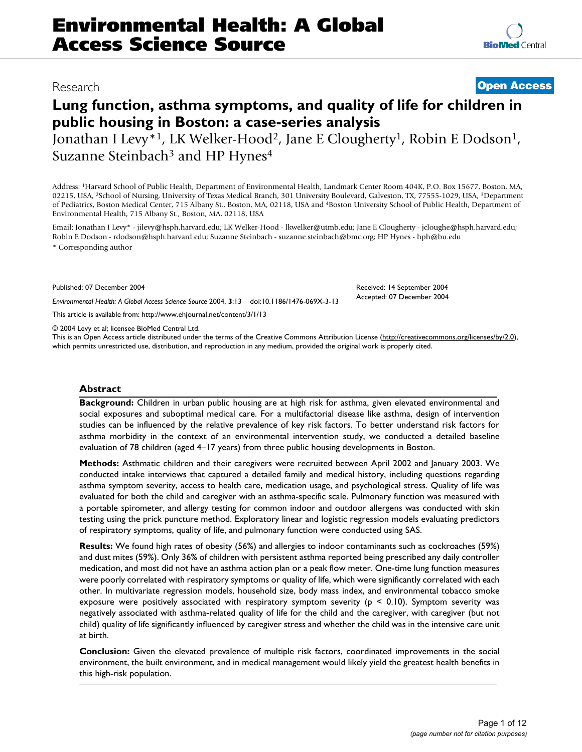# Research **[Open Access](http://www.biomedcentral.com/info/about/charter/)**

# **Lung function, asthma symptoms, and quality of life for children in public housing in Boston: a case-series analysis** Jonathan I Levy<sup>\*1</sup>, LK Welker-Hood<sup>2</sup>, Jane E Clougherty<sup>1</sup>, Robin E Dodson<sup>1</sup>, Suzanne Steinbach<sup>3</sup> and HP Hynes<sup>4</sup>

Address: 1Harvard School of Public Health, Department of Environmental Health, Landmark Center Room 404K, P.O. Box 15677, Boston, MA, 02215, USA, <sup>2</sup>School of Nursing, University of Texas Medical Branch, 301 University Boulevard, Galveston, TX, 77555-1029, USA, <sup>3</sup>Department of Pediatrics, Boston Medical Center, 715 Albany St., Boston, MA, 02118, USA and 4Boston University School of Public Health, Department of Environmental Health, 715 Albany St., Boston, MA, 02118, USA

Email: Jonathan I Levy\* - jilevy@hsph.harvard.edu; LK Welker-Hood - lkwelker@utmb.edu; Jane E Clougherty - jcloughe@hsph.harvard.edu; Robin E Dodson - rdodson@hsph.harvard.edu; Suzanne Steinbach - suzanne.steinbach@bmc.org; HP Hynes - hph@bu.edu \* Corresponding author

Published: 07 December 2004

*Environmental Health: A Global Access Science Source* 2004, **3**:13 doi:10.1186/1476-069X-3-13

[This article is available from: http://www.ehjournal.net/content/3/1/13](http://www.ehjournal.net/content/3/1/13)

© 2004 Levy et al; licensee BioMed Central Ltd.

This is an Open Access article distributed under the terms of the Creative Commons Attribution License [\(http://creativecommons.org/licenses/by/2.0\)](http://creativecommons.org/licenses/by/2.0), which permits unrestricted use, distribution, and reproduction in any medium, provided the original work is properly cited.

#### **Abstract**

**Background:** Children in urban public housing are at high risk for asthma, given elevated environmental and social exposures and suboptimal medical care. For a multifactorial disease like asthma, design of intervention studies can be influenced by the relative prevalence of key risk factors. To better understand risk factors for asthma morbidity in the context of an environmental intervention study, we conducted a detailed baseline evaluation of 78 children (aged 4–17 years) from three public housing developments in Boston.

**Methods:** Asthmatic children and their caregivers were recruited between April 2002 and January 2003. We conducted intake interviews that captured a detailed family and medical history, including questions regarding asthma symptom severity, access to health care, medication usage, and psychological stress. Quality of life was evaluated for both the child and caregiver with an asthma-specific scale. Pulmonary function was measured with a portable spirometer, and allergy testing for common indoor and outdoor allergens was conducted with skin testing using the prick puncture method. Exploratory linear and logistic regression models evaluating predictors of respiratory symptoms, quality of life, and pulmonary function were conducted using SAS.

**Results:** We found high rates of obesity (56%) and allergies to indoor contaminants such as cockroaches (59%) and dust mites (59%). Only 36% of children with persistent asthma reported being prescribed any daily controller medication, and most did not have an asthma action plan or a peak flow meter. One-time lung function measures were poorly correlated with respiratory symptoms or quality of life, which were significantly correlated with each other. In multivariate regression models, household size, body mass index, and environmental tobacco smoke exposure were positively associated with respiratory symptom severity ( $p < 0.10$ ). Symptom severity was negatively associated with asthma-related quality of life for the child and the caregiver, with caregiver (but not child) quality of life significantly influenced by caregiver stress and whether the child was in the intensive care unit at birth.

**Conclusion:** Given the elevated prevalence of multiple risk factors, coordinated improvements in the social environment, the built environment, and in medical management would likely yield the greatest health benefits in this high-risk population.



Received: 14 September 2004 Accepted: 07 December 2004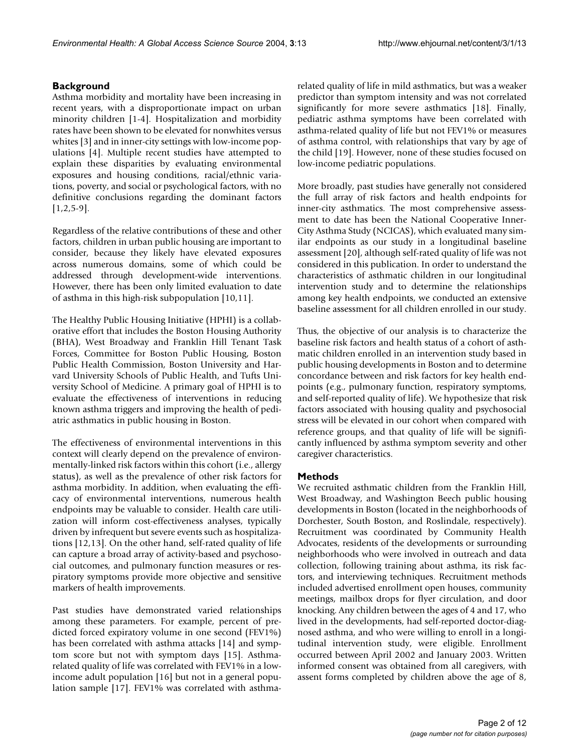# **Background**

Asthma morbidity and mortality have been increasing in recent years, with a disproportionate impact on urban minority children [1-4]. Hospitalization and morbidity rates have been shown to be elevated for nonwhites versus whites [3] and in inner-city settings with low-income populations [4]. Multiple recent studies have attempted to explain these disparities by evaluating environmental exposures and housing conditions, racial/ethnic variations, poverty, and social or psychological factors, with no definitive conclusions regarding the dominant factors  $[1,2,5-9]$ .

Regardless of the relative contributions of these and other factors, children in urban public housing are important to consider, because they likely have elevated exposures across numerous domains, some of which could be addressed through development-wide interventions. However, there has been only limited evaluation to date of asthma in this high-risk subpopulation [10,11].

The Healthy Public Housing Initiative (HPHI) is a collaborative effort that includes the Boston Housing Authority (BHA), West Broadway and Franklin Hill Tenant Task Forces, Committee for Boston Public Housing, Boston Public Health Commission, Boston University and Harvard University Schools of Public Health, and Tufts University School of Medicine. A primary goal of HPHI is to evaluate the effectiveness of interventions in reducing known asthma triggers and improving the health of pediatric asthmatics in public housing in Boston.

The effectiveness of environmental interventions in this context will clearly depend on the prevalence of environmentally-linked risk factors within this cohort (i.e., allergy status), as well as the prevalence of other risk factors for asthma morbidity. In addition, when evaluating the efficacy of environmental interventions, numerous health endpoints may be valuable to consider. Health care utilization will inform cost-effectiveness analyses, typically driven by infrequent but severe events such as hospitalizations [12,13]. On the other hand, self-rated quality of life can capture a broad array of activity-based and psychosocial outcomes, and pulmonary function measures or respiratory symptoms provide more objective and sensitive markers of health improvements.

Past studies have demonstrated varied relationships among these parameters. For example, percent of predicted forced expiratory volume in one second (FEV1%) has been correlated with asthma attacks [14] and symptom score but not with symptom days [15]. Asthmarelated quality of life was correlated with FEV1% in a lowincome adult population [16] but not in a general population sample [17]. FEV1% was correlated with asthmarelated quality of life in mild asthmatics, but was a weaker predictor than symptom intensity and was not correlated significantly for more severe asthmatics [18]. Finally, pediatric asthma symptoms have been correlated with asthma-related quality of life but not FEV1% or measures of asthma control, with relationships that vary by age of the child [19]. However, none of these studies focused on low-income pediatric populations.

More broadly, past studies have generally not considered the full array of risk factors and health endpoints for inner-city asthmatics. The most comprehensive assessment to date has been the National Cooperative Inner-City Asthma Study (NCICAS), which evaluated many similar endpoints as our study in a longitudinal baseline assessment [20], although self-rated quality of life was not considered in this publication. In order to understand the characteristics of asthmatic children in our longitudinal intervention study and to determine the relationships among key health endpoints, we conducted an extensive baseline assessment for all children enrolled in our study.

Thus, the objective of our analysis is to characterize the baseline risk factors and health status of a cohort of asthmatic children enrolled in an intervention study based in public housing developments in Boston and to determine concordance between and risk factors for key health endpoints (e.g., pulmonary function, respiratory symptoms, and self-reported quality of life). We hypothesize that risk factors associated with housing quality and psychosocial stress will be elevated in our cohort when compared with reference groups, and that quality of life will be significantly influenced by asthma symptom severity and other caregiver characteristics.

# **Methods**

We recruited asthmatic children from the Franklin Hill, West Broadway, and Washington Beech public housing developments in Boston (located in the neighborhoods of Dorchester, South Boston, and Roslindale, respectively). Recruitment was coordinated by Community Health Advocates, residents of the developments or surrounding neighborhoods who were involved in outreach and data collection, following training about asthma, its risk factors, and interviewing techniques. Recruitment methods included advertised enrollment open houses, community meetings, mailbox drops for flyer circulation, and door knocking. Any children between the ages of 4 and 17, who lived in the developments, had self-reported doctor-diagnosed asthma, and who were willing to enroll in a longitudinal intervention study, were eligible. Enrollment occurred between April 2002 and January 2003. Written informed consent was obtained from all caregivers, with assent forms completed by children above the age of 8,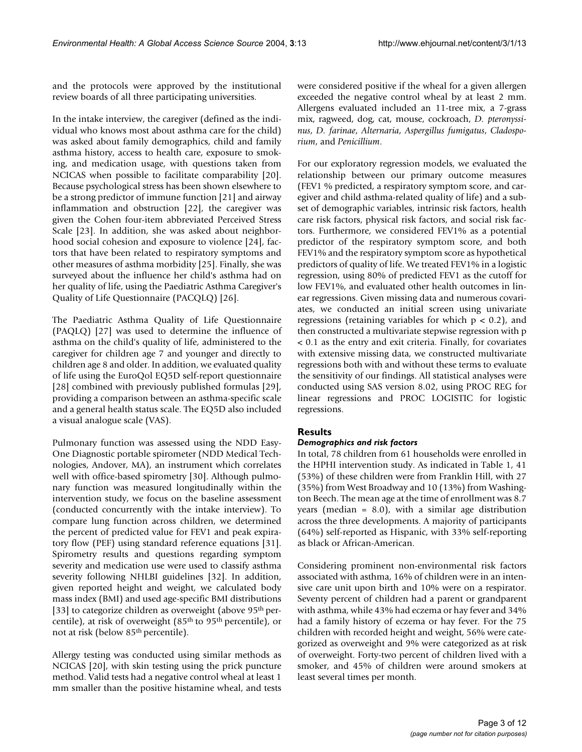and the protocols were approved by the institutional review boards of all three participating universities.

In the intake interview, the caregiver (defined as the individual who knows most about asthma care for the child) was asked about family demographics, child and family asthma history, access to health care, exposure to smoking, and medication usage, with questions taken from NCICAS when possible to facilitate comparability [20]. Because psychological stress has been shown elsewhere to be a strong predictor of immune function [21] and airway inflammation and obstruction [22], the caregiver was given the Cohen four-item abbreviated Perceived Stress Scale [23]. In addition, she was asked about neighborhood social cohesion and exposure to violence [24], factors that have been related to respiratory symptoms and other measures of asthma morbidity [25]. Finally, she was surveyed about the influence her child's asthma had on her quality of life, using the Paediatric Asthma Caregiver's Quality of Life Questionnaire (PACQLQ) [26].

The Paediatric Asthma Quality of Life Questionnaire (PAQLQ) [27] was used to determine the influence of asthma on the child's quality of life, administered to the caregiver for children age 7 and younger and directly to children age 8 and older. In addition, we evaluated quality of life using the EuroQol EQ5D self-report questionnaire [28] combined with previously published formulas [29], providing a comparison between an asthma-specific scale and a general health status scale. The EQ5D also included a visual analogue scale (VAS).

Pulmonary function was assessed using the NDD Easy-One Diagnostic portable spirometer (NDD Medical Technologies, Andover, MA), an instrument which correlates well with office-based spirometry [30]. Although pulmonary function was measured longitudinally within the intervention study, we focus on the baseline assessment (conducted concurrently with the intake interview). To compare lung function across children, we determined the percent of predicted value for FEV1 and peak expiratory flow (PEF) using standard reference equations [31]. Spirometry results and questions regarding symptom severity and medication use were used to classify asthma severity following NHLBI guidelines [32]. In addition, given reported height and weight, we calculated body mass index (BMI) and used age-specific BMI distributions [33] to categorize children as overweight (above 95<sup>th</sup> percentile), at risk of overweight (85<sup>th</sup> to 95<sup>th</sup> percentile), or not at risk (below 85th percentile).

Allergy testing was conducted using similar methods as NCICAS [20], with skin testing using the prick puncture method. Valid tests had a negative control wheal at least 1 mm smaller than the positive histamine wheal, and tests

were considered positive if the wheal for a given allergen exceeded the negative control wheal by at least 2 mm. Allergens evaluated included an 11-tree mix, a 7-grass mix, ragweed, dog, cat, mouse, cockroach, *D. pteronyssinus*, *D. farinae*, *Alternaria*, *Aspergillus fumigatus*, *Cladosporium*, and *Penicillium*.

For our exploratory regression models, we evaluated the relationship between our primary outcome measures (FEV1 % predicted, a respiratory symptom score, and caregiver and child asthma-related quality of life) and a subset of demographic variables, intrinsic risk factors, health care risk factors, physical risk factors, and social risk factors. Furthermore, we considered FEV1% as a potential predictor of the respiratory symptom score, and both FEV1% and the respiratory symptom score as hypothetical predictors of quality of life. We treated FEV1% in a logistic regression, using 80% of predicted FEV1 as the cutoff for low FEV1%, and evaluated other health outcomes in linear regressions. Given missing data and numerous covariates, we conducted an initial screen using univariate regressions (retaining variables for which  $p < 0.2$ ), and then constructed a multivariate stepwise regression with p < 0.1 as the entry and exit criteria. Finally, for covariates with extensive missing data, we constructed multivariate regressions both with and without these terms to evaluate the sensitivity of our findings. All statistical analyses were conducted using SAS version 8.02, using PROC REG for linear regressions and PROC LOGISTIC for logistic regressions.

# **Results**

# *Demographics and risk factors*

In total, 78 children from 61 households were enrolled in the HPHI intervention study. As indicated in Table [1,](#page-3-0) 41 (53%) of these children were from Franklin Hill, with 27 (35%) from West Broadway and 10 (13%) from Washington Beech. The mean age at the time of enrollment was 8.7 years (median = 8.0), with a similar age distribution across the three developments. A majority of participants (64%) self-reported as Hispanic, with 33% self-reporting as black or African-American.

Considering prominent non-environmental risk factors associated with asthma, 16% of children were in an intensive care unit upon birth and 10% were on a respirator. Seventy percent of children had a parent or grandparent with asthma, while 43% had eczema or hay fever and 34% had a family history of eczema or hay fever. For the 75 children with recorded height and weight, 56% were categorized as overweight and 9% were categorized as at risk of overweight. Forty-two percent of children lived with a smoker, and 45% of children were around smokers at least several times per month.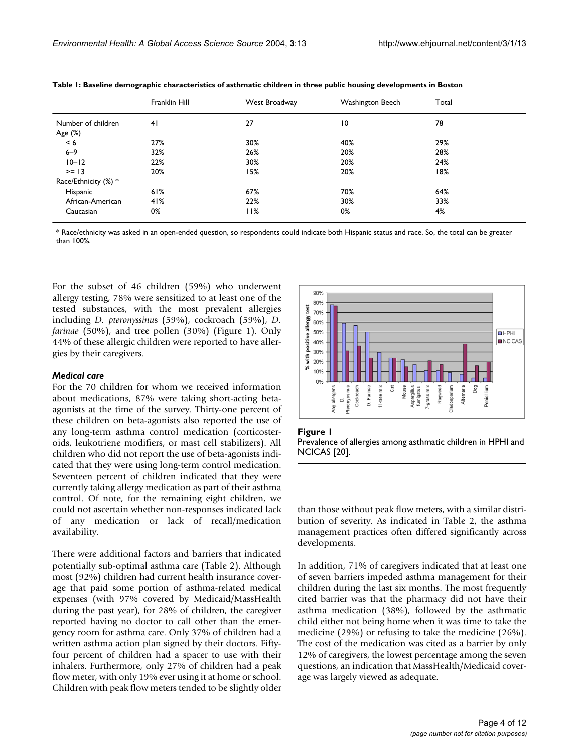|                      | Franklin Hill | West Broadway | Washington Beech | Total |  |
|----------------------|---------------|---------------|------------------|-------|--|
| Number of children   | 41            | 27            | 10               | 78    |  |
| Age (%)              |               |               |                  |       |  |
| < 6                  | 27%           | 30%           | 40%              | 29%   |  |
| $6 - 9$              | 32%           | 26%           | 20%              | 28%   |  |
| $10 - 12$            | 22%           | 30%           | 20%              | 24%   |  |
| $>= 13$              | 20%           | 15%           | 20%              | 18%   |  |
| Race/Ethnicity (%) * |               |               |                  |       |  |
| Hispanic             | 61%           | 67%           | 70%              | 64%   |  |
| African-American     | 41%           | 22%           | 30%              | 33%   |  |
| Caucasian            | 0%            | l I%          | 0%               | 4%    |  |

<span id="page-3-0"></span>**Table 1: Baseline demographic characteristics of asthmatic children in three public housing developments in Boston**

\* Race/ethnicity was asked in an open-ended question, so respondents could indicate both Hispanic status and race. So, the total can be greater than 100%.

For the subset of 46 children (59%) who underwent allergy testing, 78% were sensitized to at least one of the tested substances, with the most prevalent allergies including *D. pteronyssinu*s (59%), cockroach (59%), *D. farinae* (50%), and tree pollen (30%) (Figure 1). Only 44% of these allergic children were reported to have allergies by their caregivers.

#### *Medical care*

For the 70 children for whom we received information about medications, 87% were taking short-acting betaagonists at the time of the survey. Thirty-one percent of these children on beta-agonists also reported the use of any long-term asthma control medication (corticosteroids, leukotriene modifiers, or mast cell stabilizers). All children who did not report the use of beta-agonists indicated that they were using long-term control medication. Seventeen percent of children indicated that they were currently taking allergy medication as part of their asthma control. Of note, for the remaining eight children, we could not ascertain whether non-responses indicated lack of any medication or lack of recall/medication availability.

There were additional factors and barriers that indicated potentially sub-optimal asthma care (Table [2](#page-4-0)). Although most (92%) children had current health insurance coverage that paid some portion of asthma-related medical expenses (with 97% covered by Medicaid/MassHealth during the past year), for 28% of children, the caregiver reported having no doctor to call other than the emergency room for asthma care. Only 37% of children had a written asthma action plan signed by their doctors. Fiftyfour percent of children had a spacer to use with their inhalers. Furthermore, only 27% of children had a peak flow meter, with only 19% ever using it at home or school. Children with peak flow meters tended to be slightly older



#### **Figure 1**

Prevalence of allergies among asthmatic children in HPHI and NCICAS [20].

than those without peak flow meters, with a similar distribution of severity. As indicated in Table [2](#page-4-0), the asthma management practices often differed significantly across developments.

In addition, 71% of caregivers indicated that at least one of seven barriers impeded asthma management for their children during the last six months. The most frequently cited barrier was that the pharmacy did not have their asthma medication (38%), followed by the asthmatic child either not being home when it was time to take the medicine (29%) or refusing to take the medicine (26%). The cost of the medication was cited as a barrier by only 12% of caregivers, the lowest percentage among the seven questions, an indication that MassHealth/Medicaid coverage was largely viewed as adequate.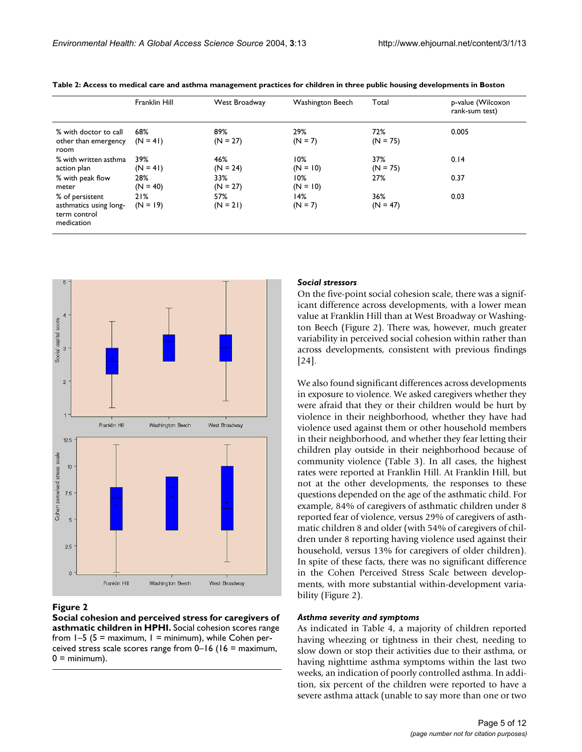|                                                                         | Franklin Hill     | West Broadway     | Washington Beech  | Total             | p-value (Wilcoxon<br>rank-sum test) |
|-------------------------------------------------------------------------|-------------------|-------------------|-------------------|-------------------|-------------------------------------|
| % with doctor to call<br>other than emergency<br>room                   | 68%<br>$(N = 41)$ | 89%<br>$(N = 27)$ | 29%<br>$(N = 7)$  | 72%<br>$(N = 75)$ | 0.005                               |
| % with written asthma<br>action plan                                    | 39%<br>$(N = 41)$ | 46%<br>$(N = 24)$ | 10%<br>$(N = 10)$ | 37%<br>$(N = 75)$ | 0.14                                |
| % with peak flow<br>meter                                               | 28%<br>$(N = 40)$ | 33%<br>$(N = 27)$ | 10%<br>$(N = 10)$ | 27%               | 0.37                                |
| % of persistent<br>asthmatics using long-<br>term control<br>medication | 21%<br>$(N = 19)$ | 57%<br>$(N = 21)$ | 14%<br>$(N = 7)$  | 36%<br>$(N = 47)$ | 0.03                                |

<span id="page-4-0"></span>**Table 2: Access to medical care and asthma management practices for children in three public housing developments in Boston**



#### Figure 2

**Social cohesion and perceived stress for caregivers of asthmatic children in HPHI.** Social cohesion scores range from  $1-5$  (5 = maximum, 1 = minimum), while Cohen perceived stress scale scores range from 0–16 (16 = maximum,  $0 =$  minimum).

#### *Social stressors*

On the five-point social cohesion scale, there was a significant difference across developments, with a lower mean value at Franklin Hill than at West Broadway or Washington Beech (Figure 2). There was, however, much greater variability in perceived social cohesion within rather than across developments, consistent with previous findings [24].

We also found significant differences across developments in exposure to violence. We asked caregivers whether they were afraid that they or their children would be hurt by violence in their neighborhood, whether they have had violence used against them or other household members in their neighborhood, and whether they fear letting their children play outside in their neighborhood because of community violence (Table [3](#page-5-0)). In all cases, the highest rates were reported at Franklin Hill. At Franklin Hill, but not at the other developments, the responses to these questions depended on the age of the asthmatic child. For example, 84% of caregivers of asthmatic children under 8 reported fear of violence, versus 29% of caregivers of asthmatic children 8 and older (with 54% of caregivers of children under 8 reporting having violence used against their household, versus 13% for caregivers of older children). In spite of these facts, there was no significant difference in the Cohen Perceived Stress Scale between developments, with more substantial within-development variability (Figure 2).

#### *Asthma severity and symptoms*

As indicated in Table [4,](#page-5-1) a majority of children reported having wheezing or tightness in their chest, needing to slow down or stop their activities due to their asthma, or having nighttime asthma symptoms within the last two weeks, an indication of poorly controlled asthma. In addition, six percent of the children were reported to have a severe asthma attack (unable to say more than one or two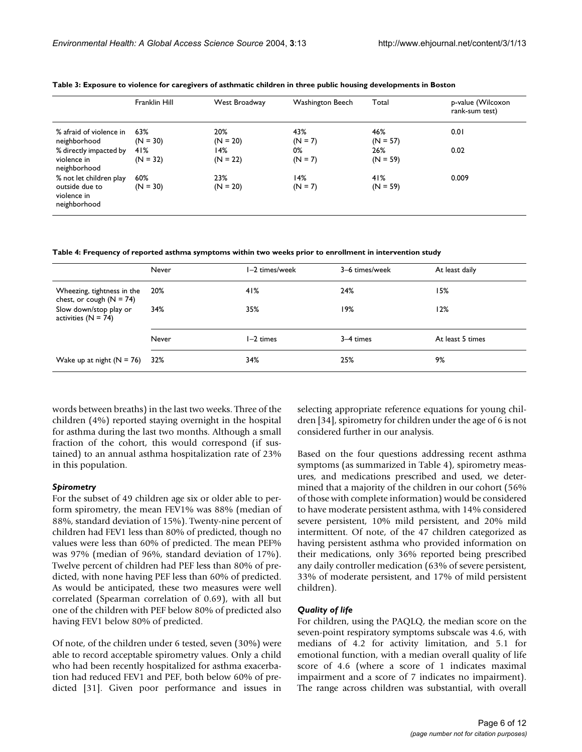|                                                                          | <b>Franklin Hill</b> | West Broadway     | Washington Beech | Total             | p-value (Wilcoxon<br>rank-sum test) |
|--------------------------------------------------------------------------|----------------------|-------------------|------------------|-------------------|-------------------------------------|
| % afraid of violence in<br>neighborhood                                  | 63%<br>$(N = 30)$    | 20%<br>$(N = 20)$ | 43%<br>$(N = 7)$ | 46%<br>$(N = 57)$ | 0.01                                |
| % directly impacted by<br>violence in<br>neighborhood                    | 41%<br>$(N = 32)$    | 14%<br>$(N = 22)$ | 0%<br>$(N = 7)$  | 26%<br>$(N = 59)$ | 0.02                                |
| % not let children play<br>outside due to<br>violence in<br>neighborhood | 60%<br>$(N = 30)$    | 23%<br>$(N = 20)$ | 14%<br>$(N = 7)$ | 41%<br>$(N = 59)$ | 0.009                               |

<span id="page-5-0"></span>**Table 3: Exposure to violence for caregivers of asthmatic children in three public housing developments in Boston**

<span id="page-5-1"></span>**Table 4: Frequency of reported asthma symptoms within two weeks prior to enrollment in intervention study**

|                                                          | Never | I-2 times/week | 3-6 times/week | At least daily   |
|----------------------------------------------------------|-------|----------------|----------------|------------------|
| Wheezing, tightness in the<br>chest, or cough $(N = 74)$ | 20%   | 41%            | 24%            | 15%              |
| Slow down/stop play or<br>activities $(N = 74)$          | 34%   | 35%            | 19%            | 12%              |
|                                                          | Never | l-2 times      | 3–4 times      | At least 5 times |
| Wake up at night $(N = 76)$                              | 32%   | 34%            | 25%            | 9%               |

words between breaths) in the last two weeks. Three of the children (4%) reported staying overnight in the hospital for asthma during the last two months. Although a small fraction of the cohort, this would correspond (if sustained) to an annual asthma hospitalization rate of 23% in this population.

#### *Spirometry*

For the subset of 49 children age six or older able to perform spirometry, the mean FEV1% was 88% (median of 88%, standard deviation of 15%). Twenty-nine percent of children had FEV1 less than 80% of predicted, though no values were less than 60% of predicted. The mean PEF% was 97% (median of 96%, standard deviation of 17%). Twelve percent of children had PEF less than 80% of predicted, with none having PEF less than 60% of predicted. As would be anticipated, these two measures were well correlated (Spearman correlation of 0.69), with all but one of the children with PEF below 80% of predicted also having FEV1 below 80% of predicted.

Of note, of the children under 6 tested, seven (30%) were able to record acceptable spirometry values. Only a child who had been recently hospitalized for asthma exacerbation had reduced FEV1 and PEF, both below 60% of predicted [31]. Given poor performance and issues in selecting appropriate reference equations for young children [34], spirometry for children under the age of 6 is not considered further in our analysis.

Based on the four questions addressing recent asthma symptoms (as summarized in Table [4\)](#page-5-1), spirometry measures, and medications prescribed and used, we determined that a majority of the children in our cohort (56% of those with complete information) would be considered to have moderate persistent asthma, with 14% considered severe persistent, 10% mild persistent, and 20% mild intermittent. Of note, of the 47 children categorized as having persistent asthma who provided information on their medications, only 36% reported being prescribed any daily controller medication (63% of severe persistent, 33% of moderate persistent, and 17% of mild persistent children).

#### *Quality of life*

For children, using the PAQLQ, the median score on the seven-point respiratory symptoms subscale was 4.6, with medians of 4.2 for activity limitation, and 5.1 for emotional function, with a median overall quality of life score of 4.6 (where a score of 1 indicates maximal impairment and a score of 7 indicates no impairment). The range across children was substantial, with overall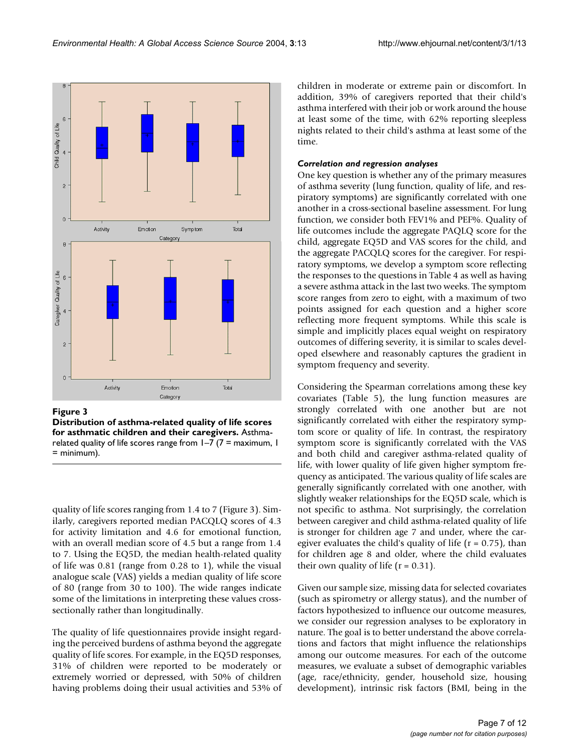

#### Figure 3

**Distribution of asthma-related quality of life scores for asthmatic children and their caregivers.** Asthmarelated quality of life scores range from  $1-7$  (7 = maximum, 1 = minimum).

quality of life scores ranging from 1.4 to 7 (Figure 3). Similarly, caregivers reported median PACQLQ scores of 4.3 for activity limitation and 4.6 for emotional function, with an overall median score of 4.5 but a range from 1.4 to 7. Using the EQ5D, the median health-related quality of life was 0.81 (range from 0.28 to 1), while the visual analogue scale (VAS) yields a median quality of life score of 80 (range from 30 to 100). The wide ranges indicate some of the limitations in interpreting these values crosssectionally rather than longitudinally.

The quality of life questionnaires provide insight regarding the perceived burdens of asthma beyond the aggregate quality of life scores. For example, in the EQ5D responses, 31% of children were reported to be moderately or extremely worried or depressed, with 50% of children having problems doing their usual activities and 53% of children in moderate or extreme pain or discomfort. In addition, 39% of caregivers reported that their child's asthma interfered with their job or work around the house at least some of the time, with 62% reporting sleepless nights related to their child's asthma at least some of the time.

### *Correlation and regression analyses*

One key question is whether any of the primary measures of asthma severity (lung function, quality of life, and respiratory symptoms) are significantly correlated with one another in a cross-sectional baseline assessment. For lung function, we consider both FEV1% and PEF%. Quality of life outcomes include the aggregate PAQLQ score for the child, aggregate EQ5D and VAS scores for the child, and the aggregate PACQLQ scores for the caregiver. For respiratory symptoms, we develop a symptom score reflecting the responses to the questions in Table [4](#page-5-1) as well as having a severe asthma attack in the last two weeks. The symptom score ranges from zero to eight, with a maximum of two points assigned for each question and a higher score reflecting more frequent symptoms. While this scale is simple and implicitly places equal weight on respiratory outcomes of differing severity, it is similar to scales developed elsewhere and reasonably captures the gradient in symptom frequency and severity.

Considering the Spearman correlations among these key covariates (Table [5\)](#page-7-0), the lung function measures are strongly correlated with one another but are not significantly correlated with either the respiratory symptom score or quality of life. In contrast, the respiratory symptom score is significantly correlated with the VAS and both child and caregiver asthma-related quality of life, with lower quality of life given higher symptom frequency as anticipated. The various quality of life scales are generally significantly correlated with one another, with slightly weaker relationships for the EQ5D scale, which is not specific to asthma. Not surprisingly, the correlation between caregiver and child asthma-related quality of life is stronger for children age 7 and under, where the caregiver evaluates the child's quality of life ( $r = 0.75$ ), than for children age 8 and older, where the child evaluates their own quality of life  $(r = 0.31)$ .

Given our sample size, missing data for selected covariates (such as spirometry or allergy status), and the number of factors hypothesized to influence our outcome measures, we consider our regression analyses to be exploratory in nature. The goal is to better understand the above correlations and factors that might influence the relationships among our outcome measures. For each of the outcome measures, we evaluate a subset of demographic variables (age, race/ethnicity, gender, household size, housing development), intrinsic risk factors (BMI, being in the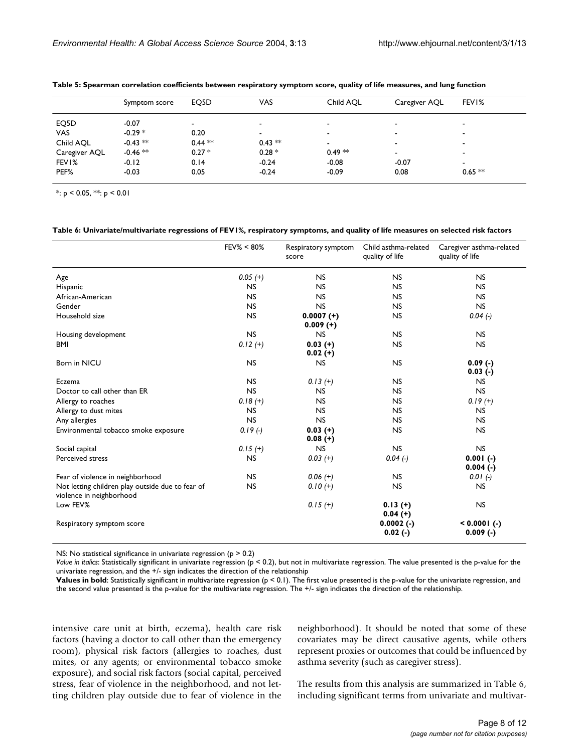|               | Symptom score | EQ5D     | <b>VAS</b>               | Child AOL                | Caregiver AQL            | FEVI%                    |
|---------------|---------------|----------|--------------------------|--------------------------|--------------------------|--------------------------|
| EQ5D          | $-0.07$       |          | $\blacksquare$           | $\overline{\phantom{a}}$ | -                        | $\overline{\phantom{a}}$ |
| <b>VAS</b>    | $-0.29*$      | 0.20     | $\overline{\phantom{a}}$ | $\,$                     | -                        | $\blacksquare$           |
| Child AOL     | $-0.43$ **    | $0.44**$ | $0.43**$                 | $\overline{\phantom{a}}$ | ٠                        | $\overline{\phantom{a}}$ |
| Caregiver AQL | $-0.46$ **    | $0.27 *$ | $0.28 *$                 | $0.49**$                 | $\overline{\phantom{a}}$ | $\blacksquare$           |
| FEV1%         | $-0.12$       | 0.14     | $-0.24$                  | $-0.08$                  | $-0.07$                  | $\overline{\phantom{a}}$ |
| PEF%          | $-0.03$       | 0.05     | $-0.24$                  | $-0.09$                  | 0.08                     | $0.65***$                |

<span id="page-7-0"></span>**Table 5: Spearman correlation coefficients between respiratory symptom score, quality of life measures, and lung function**

 $*: p < 0.05, **: p < 0.01$ 

#### <span id="page-7-1"></span>**Table 6: Univariate/multivariate regressions of FEV1%, respiratory symptoms, and quality of life measures on selected risk factors**

|                                                                              | FEV% < 80% | Respiratory symptom<br>score | Child asthma-related<br>quality of life | Caregiver asthma-related<br>quality of life |
|------------------------------------------------------------------------------|------------|------------------------------|-----------------------------------------|---------------------------------------------|
| Age                                                                          | $0.05(+)$  | <b>NS</b>                    | <b>NS</b>                               | <b>NS</b>                                   |
| Hispanic                                                                     | <b>NS</b>  | <b>NS</b>                    | <b>NS</b>                               | <b>NS</b>                                   |
| African-American                                                             | <b>NS</b>  | <b>NS</b>                    | <b>NS</b>                               | <b>NS</b>                                   |
| Gender                                                                       | <b>NS</b>  | <b>NS</b>                    | <b>NS</b>                               | <b>NS</b>                                   |
| Household size                                                               | <b>NS</b>  | $0.0007 (+)$<br>$0.009 (+)$  | <b>NS</b>                               | $0.04(-)$                                   |
| Housing development                                                          | <b>NS</b>  | <b>NS</b>                    | <b>NS</b>                               | NS.                                         |
| <b>BMI</b>                                                                   | $0.12 (+)$ | $0.03$ (+)<br>$0.02 (+)$     | <b>NS</b>                               | <b>NS</b>                                   |
| Born in NICU                                                                 | <b>NS</b>  | <b>NS</b>                    | <b>NS</b>                               | $0.09(-)$<br>$0.03$ (-)                     |
| Eczema                                                                       | <b>NS</b>  | $0.13(+)$                    | <b>NS</b>                               | <b>NS</b>                                   |
| Doctor to call other than ER                                                 | <b>NS</b>  | <b>NS</b>                    | <b>NS</b>                               | <b>NS</b>                                   |
| Allergy to roaches                                                           | $0.18(+)$  | <b>NS</b>                    | <b>NS</b>                               | $0.19(+)$                                   |
| Allergy to dust mites                                                        | <b>NS</b>  | <b>NS</b>                    | <b>NS</b>                               | <b>NS</b>                                   |
| Any allergies                                                                | <b>NS</b>  | <b>NS</b>                    | <b>NS</b>                               | <b>NS</b>                                   |
| Environmental tobacco smoke exposure                                         | $0.19(-)$  | $0.03$ (+)<br>$0.08 (+)$     | <b>NS</b>                               | <b>NS</b>                                   |
| Social capital                                                               | $0.15(+)$  | <b>NS</b>                    | <b>NS</b>                               | <b>NS</b>                                   |
| Perceived stress                                                             | <b>NS</b>  | $0.03$ (+)                   | $0.04(-)$                               | $0.001(-)$<br>$0.004(-)$                    |
| Fear of violence in neighborhood                                             | <b>NS</b>  | $0.06(+)$                    | <b>NS</b>                               | $0.01(-)$                                   |
| Not letting children play outside due to fear of<br>violence in neighborhood | <b>NS</b>  | $0.10(+)$                    | <b>NS</b>                               | NS.                                         |
| Low FEV%                                                                     |            | $0.15(+)$                    | $0.13(+)$<br>$0.04(+)$                  | <b>NS</b>                                   |
| Respiratory symptom score                                                    |            |                              | $0.0002(-)$<br>$0.02(-)$                | $< 0.0001$ (-)<br>$0.009$ (-)               |

NS: No statistical significance in univariate regression (p > 0.2)

*Value in italics*: Statistically significant in univariate regression (p < 0.2), but not in multivariate regression. The value presented is the p-value for the univariate regression, and the +/- sign indicates the direction of the relationship

**Values in bold**: Statistically significant in multivariate regression (p < 0.1). The first value presented is the p-value for the univariate regression, and the second value presented is the p-value for the multivariate regression. The +/- sign indicates the direction of the relationship.

intensive care unit at birth, eczema), health care risk factors (having a doctor to call other than the emergency room), physical risk factors (allergies to roaches, dust mites, or any agents; or environmental tobacco smoke exposure), and social risk factors (social capital, perceived stress, fear of violence in the neighborhood, and not letting children play outside due to fear of violence in the neighborhood). It should be noted that some of these covariates may be direct causative agents, while others represent proxies or outcomes that could be influenced by asthma severity (such as caregiver stress).

The results from this analysis are summarized in Table [6,](#page-7-1) including significant terms from univariate and multivar-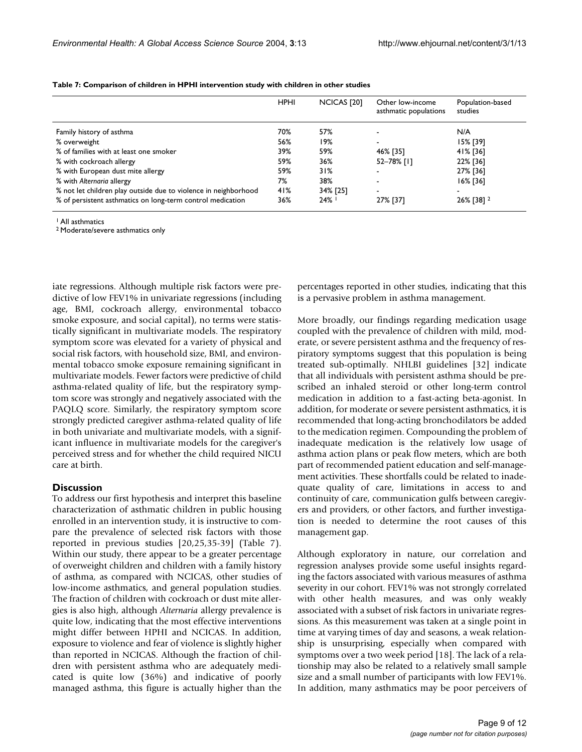|                                                                 | <b>HPHI</b> | NCICAS [20] | Other low-income<br>asthmatic populations | Population-based<br>studies |
|-----------------------------------------------------------------|-------------|-------------|-------------------------------------------|-----------------------------|
| Family history of asthma                                        | 70%         | 57%         |                                           | N/A                         |
| % overweight                                                    | 56%         | 19%         |                                           | 15% [39]                    |
| % of families with at least one smoker                          | 39%         | 59%         | 46% [35]                                  | 41% [36]                    |
| % with cockroach allergy                                        | 59%         | 36%         | 52-78% [1]                                | 22% [36]                    |
| % with European dust mite allergy                               | 59%         | 31%         |                                           | 27% [36]                    |
| % with Alternaria allergy                                       | 7%          | 38%         |                                           | 16% [36]                    |
| % not let children play outside due to violence in neighborhood | 41%         | 34% [25]    |                                           |                             |
| % of persistent asthmatics on long-term control medication      | 36%         | $24\%$      | 27% [37]                                  | 26% [38] <sup>2</sup>       |

**Table 7: Comparison of children in HPHI intervention study with children in other studies**

1 All asthmatics

2 Moderate/severe asthmatics only

iate regressions. Although multiple risk factors were predictive of low FEV1% in univariate regressions (including age, BMI, cockroach allergy, environmental tobacco smoke exposure, and social capital), no terms were statistically significant in multivariate models. The respiratory symptom score was elevated for a variety of physical and social risk factors, with household size, BMI, and environmental tobacco smoke exposure remaining significant in multivariate models. Fewer factors were predictive of child asthma-related quality of life, but the respiratory symptom score was strongly and negatively associated with the PAQLQ score. Similarly, the respiratory symptom score strongly predicted caregiver asthma-related quality of life in both univariate and multivariate models, with a significant influence in multivariate models for the caregiver's perceived stress and for whether the child required NICU care at birth.

#### **Discussion**

To address our first hypothesis and interpret this baseline characterization of asthmatic children in public housing enrolled in an intervention study, it is instructive to compare the prevalence of selected risk factors with those reported in previous studies [20,25,35-39] (Table 7). Within our study, there appear to be a greater percentage of overweight children and children with a family history of asthma, as compared with NCICAS, other studies of low-income asthmatics, and general population studies. The fraction of children with cockroach or dust mite allergies is also high, although *Alternaria* allergy prevalence is quite low, indicating that the most effective interventions might differ between HPHI and NCICAS. In addition, exposure to violence and fear of violence is slightly higher than reported in NCICAS. Although the fraction of children with persistent asthma who are adequately medicated is quite low (36%) and indicative of poorly managed asthma, this figure is actually higher than the percentages reported in other studies, indicating that this is a pervasive problem in asthma management.

More broadly, our findings regarding medication usage coupled with the prevalence of children with mild, moderate, or severe persistent asthma and the frequency of respiratory symptoms suggest that this population is being treated sub-optimally. NHLBI guidelines [32] indicate that all individuals with persistent asthma should be prescribed an inhaled steroid or other long-term control medication in addition to a fast-acting beta-agonist. In addition, for moderate or severe persistent asthmatics, it is recommended that long-acting bronchodilators be added to the medication regimen. Compounding the problem of inadequate medication is the relatively low usage of asthma action plans or peak flow meters, which are both part of recommended patient education and self-management activities. These shortfalls could be related to inadequate quality of care, limitations in access to and continuity of care, communication gulfs between caregivers and providers, or other factors, and further investigation is needed to determine the root causes of this management gap.

Although exploratory in nature, our correlation and regression analyses provide some useful insights regarding the factors associated with various measures of asthma severity in our cohort. FEV1% was not strongly correlated with other health measures, and was only weakly associated with a subset of risk factors in univariate regressions. As this measurement was taken at a single point in time at varying times of day and seasons, a weak relationship is unsurprising, especially when compared with symptoms over a two week period [18]. The lack of a relationship may also be related to a relatively small sample size and a small number of participants with low FEV1%. In addition, many asthmatics may be poor perceivers of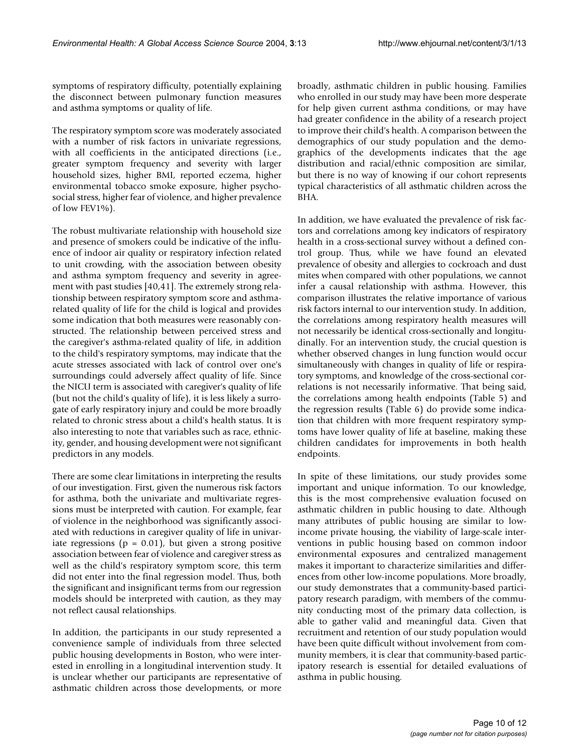symptoms of respiratory difficulty, potentially explaining the disconnect between pulmonary function measures and asthma symptoms or quality of life.

The respiratory symptom score was moderately associated with a number of risk factors in univariate regressions, with all coefficients in the anticipated directions (i.e., greater symptom frequency and severity with larger household sizes, higher BMI, reported eczema, higher environmental tobacco smoke exposure, higher psychosocial stress, higher fear of violence, and higher prevalence of low FEV1%).

The robust multivariate relationship with household size and presence of smokers could be indicative of the influence of indoor air quality or respiratory infection related to unit crowding, with the association between obesity and asthma symptom frequency and severity in agreement with past studies [40,41]. The extremely strong relationship between respiratory symptom score and asthmarelated quality of life for the child is logical and provides some indication that both measures were reasonably constructed. The relationship between perceived stress and the caregiver's asthma-related quality of life, in addition to the child's respiratory symptoms, may indicate that the acute stresses associated with lack of control over one's surroundings could adversely affect quality of life. Since the NICU term is associated with caregiver's quality of life (but not the child's quality of life), it is less likely a surrogate of early respiratory injury and could be more broadly related to chronic stress about a child's health status. It is also interesting to note that variables such as race, ethnicity, gender, and housing development were not significant predictors in any models.

There are some clear limitations in interpreting the results of our investigation. First, given the numerous risk factors for asthma, both the univariate and multivariate regressions must be interpreted with caution. For example, fear of violence in the neighborhood was significantly associated with reductions in caregiver quality of life in univariate regressions ( $p = 0.01$ ), but given a strong positive association between fear of violence and caregiver stress as well as the child's respiratory symptom score, this term did not enter into the final regression model. Thus, both the significant and insignificant terms from our regression models should be interpreted with caution, as they may not reflect causal relationships.

In addition, the participants in our study represented a convenience sample of individuals from three selected public housing developments in Boston, who were interested in enrolling in a longitudinal intervention study. It is unclear whether our participants are representative of asthmatic children across those developments, or more broadly, asthmatic children in public housing. Families who enrolled in our study may have been more desperate for help given current asthma conditions, or may have had greater confidence in the ability of a research project to improve their child's health. A comparison between the demographics of our study population and the demographics of the developments indicates that the age distribution and racial/ethnic composition are similar, but there is no way of knowing if our cohort represents typical characteristics of all asthmatic children across the BHA.

In addition, we have evaluated the prevalence of risk factors and correlations among key indicators of respiratory health in a cross-sectional survey without a defined control group. Thus, while we have found an elevated prevalence of obesity and allergies to cockroach and dust mites when compared with other populations, we cannot infer a causal relationship with asthma. However, this comparison illustrates the relative importance of various risk factors internal to our intervention study. In addition, the correlations among respiratory health measures will not necessarily be identical cross-sectionally and longitudinally. For an intervention study, the crucial question is whether observed changes in lung function would occur simultaneously with changes in quality of life or respiratory symptoms, and knowledge of the cross-sectional correlations is not necessarily informative. That being said, the correlations among health endpoints (Table [5](#page-7-0)) and the regression results (Table [6\)](#page-7-1) do provide some indication that children with more frequent respiratory symptoms have lower quality of life at baseline, making these children candidates for improvements in both health endpoints.

In spite of these limitations, our study provides some important and unique information. To our knowledge, this is the most comprehensive evaluation focused on asthmatic children in public housing to date. Although many attributes of public housing are similar to lowincome private housing, the viability of large-scale interventions in public housing based on common indoor environmental exposures and centralized management makes it important to characterize similarities and differences from other low-income populations. More broadly, our study demonstrates that a community-based participatory research paradigm, with members of the community conducting most of the primary data collection, is able to gather valid and meaningful data. Given that recruitment and retention of our study population would have been quite difficult without involvement from community members, it is clear that community-based participatory research is essential for detailed evaluations of asthma in public housing.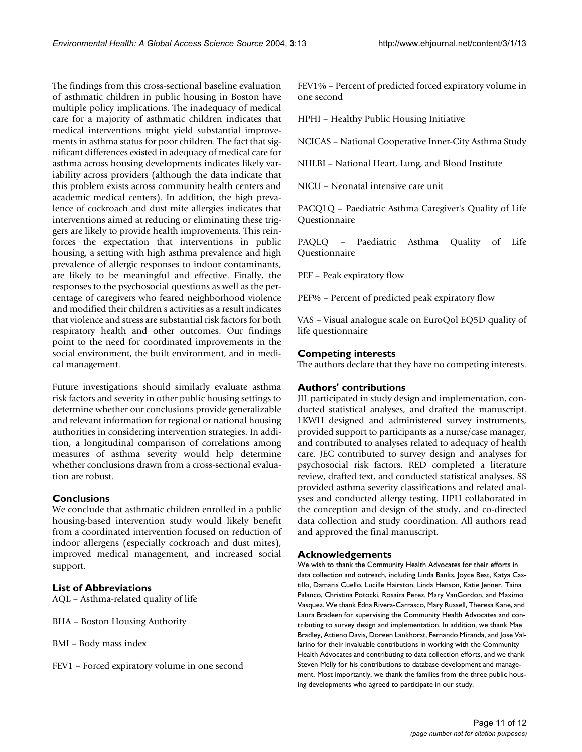The findings from this cross-sectional baseline evaluation of asthmatic children in public housing in Boston have multiple policy implications. The inadequacy of medical care for a majority of asthmatic children indicates that medical interventions might yield substantial improvements in asthma status for poor children. The fact that significant differences existed in adequacy of medical care for asthma across housing developments indicates likely variability across providers (although the data indicate that this problem exists across community health centers and academic medical centers). In addition, the high prevalence of cockroach and dust mite allergies indicates that interventions aimed at reducing or eliminating these triggers are likely to provide health improvements. This reinforces the expectation that interventions in public housing, a setting with high asthma prevalence and high prevalence of allergic responses to indoor contaminants, are likely to be meaningful and effective. Finally, the responses to the psychosocial questions as well as the percentage of caregivers who feared neighborhood violence and modified their children's activities as a result indicates that violence and stress are substantial risk factors for both respiratory health and other outcomes. Our findings point to the need for coordinated improvements in the social environment, the built environment, and in medical management.

Future investigations should similarly evaluate asthma risk factors and severity in other public housing settings to determine whether our conclusions provide generalizable and relevant information for regional or national housing authorities in considering intervention strategies. In addition, a longitudinal comparison of correlations among measures of asthma severity would help determine whether conclusions drawn from a cross-sectional evaluation are robust.

# **Conclusions**

We conclude that asthmatic children enrolled in a public housing-based intervention study would likely benefit from a coordinated intervention focused on reduction of indoor allergens (especially cockroach and dust mites), improved medical management, and increased social support.

# **List of Abbreviations**

AQL – Asthma-related quality of life

- BHA Boston Housing Authority
- BMI Body mass index
- FEV1 Forced expiratory volume in one second

FEV1% – Percent of predicted forced expiratory volume in one second

HPHI – Healthy Public Housing Initiative

NCICAS – National Cooperative Inner-City Asthma Study

NHLBI – National Heart, Lung, and Blood Institute

NICU – Neonatal intensive care unit

PACQLQ – Paediatric Asthma Caregiver's Quality of Life Questionnaire

PAQLQ – Paediatric Asthma Quality of Life Questionnaire

PEF – Peak expiratory flow

PEF% – Percent of predicted peak expiratory flow

VAS – Visual analogue scale on EuroQol EQ5D quality of life questionnaire

# **Competing interests**

The authors declare that they have no competing interests.

# **Authors' contributions**

JIL participated in study design and implementation, conducted statistical analyses, and drafted the manuscript. LKWH designed and administered survey instruments, provided support to participants as a nurse/case manager, and contributed to analyses related to adequacy of health care. JEC contributed to survey design and analyses for psychosocial risk factors. RED completed a literature review, drafted text, and conducted statistical analyses. SS provided asthma severity classifications and related analyses and conducted allergy testing. HPH collaborated in the conception and design of the study, and co-directed data collection and study coordination. All authors read and approved the final manuscript.

# **Acknowledgements**

We wish to thank the Community Health Advocates for their efforts in data collection and outreach, including Linda Banks, Joyce Best, Katya Castillo, Damaris Cuello, Lucille Hairston, Linda Henson, Katie Jenner, Taina Palanco, Christina Potocki, Rosaira Perez, Mary VanGordon, and Maximo Vasquez. We thank Edna Rivera-Carrasco, Mary Russell, Theresa Kane, and Laura Bradeen for supervising the Community Health Advocates and contributing to survey design and implementation. In addition, we thank Mae Bradley, Attieno Davis, Doreen Lankhorst, Fernando Miranda, and Jose Vallarino for their invaluable contributions in working with the Community Health Advocates and contributing to data collection efforts, and we thank Steven Melly for his contributions to database development and management. Most importantly, we thank the families from the three public housing developments who agreed to participate in our study.